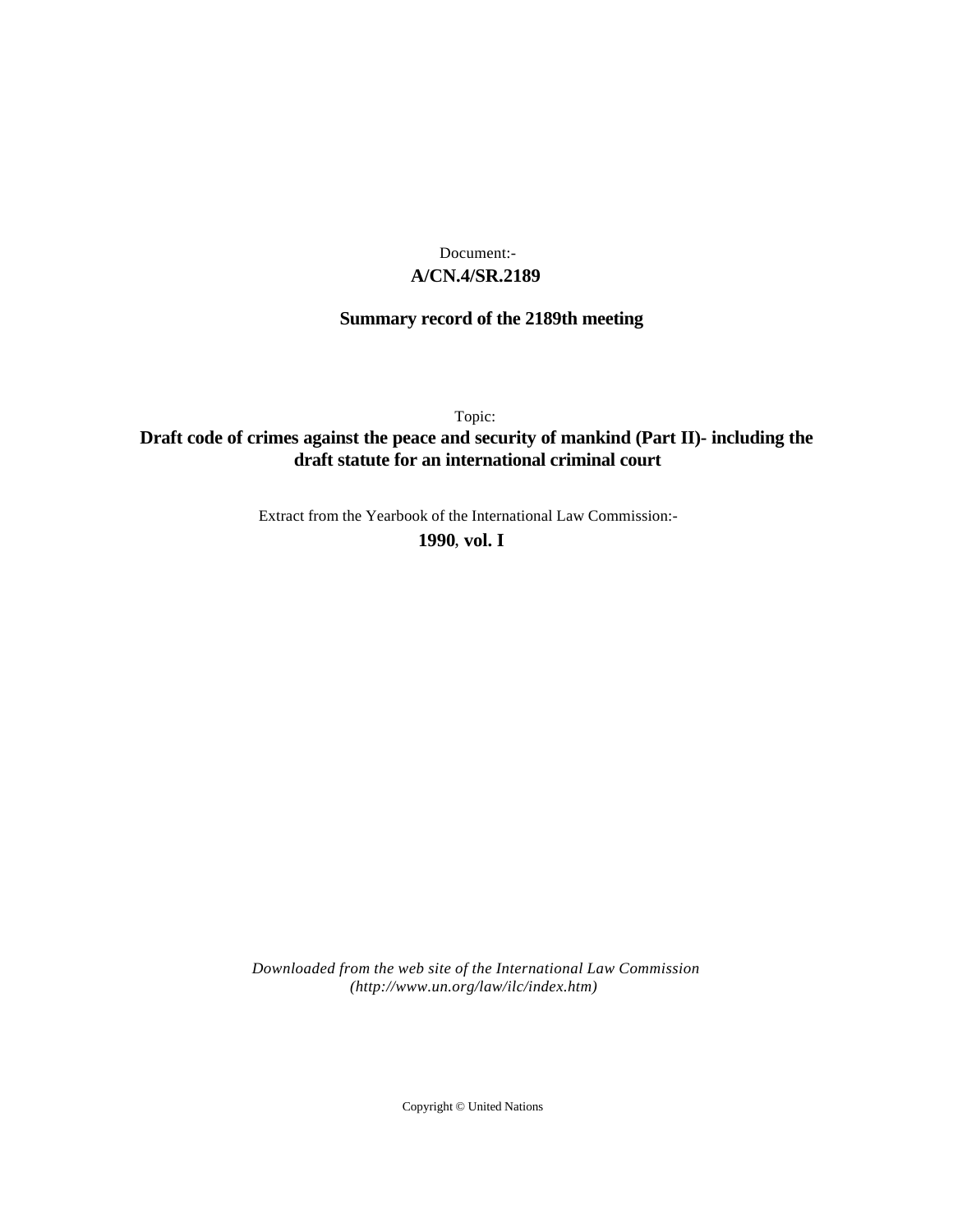## **A/CN.4/SR.2189** Document:-

# **Summary record of the 2189th meeting**

Topic:

# **Draft code of crimes against the peace and security of mankind (Part II)- including the draft statute for an international criminal court**

Extract from the Yearbook of the International Law Commission:-

**1990** , **vol. I**

*Downloaded from the web site of the International Law Commission (http://www.un.org/law/ilc/index.htm)*

Copyright © United Nations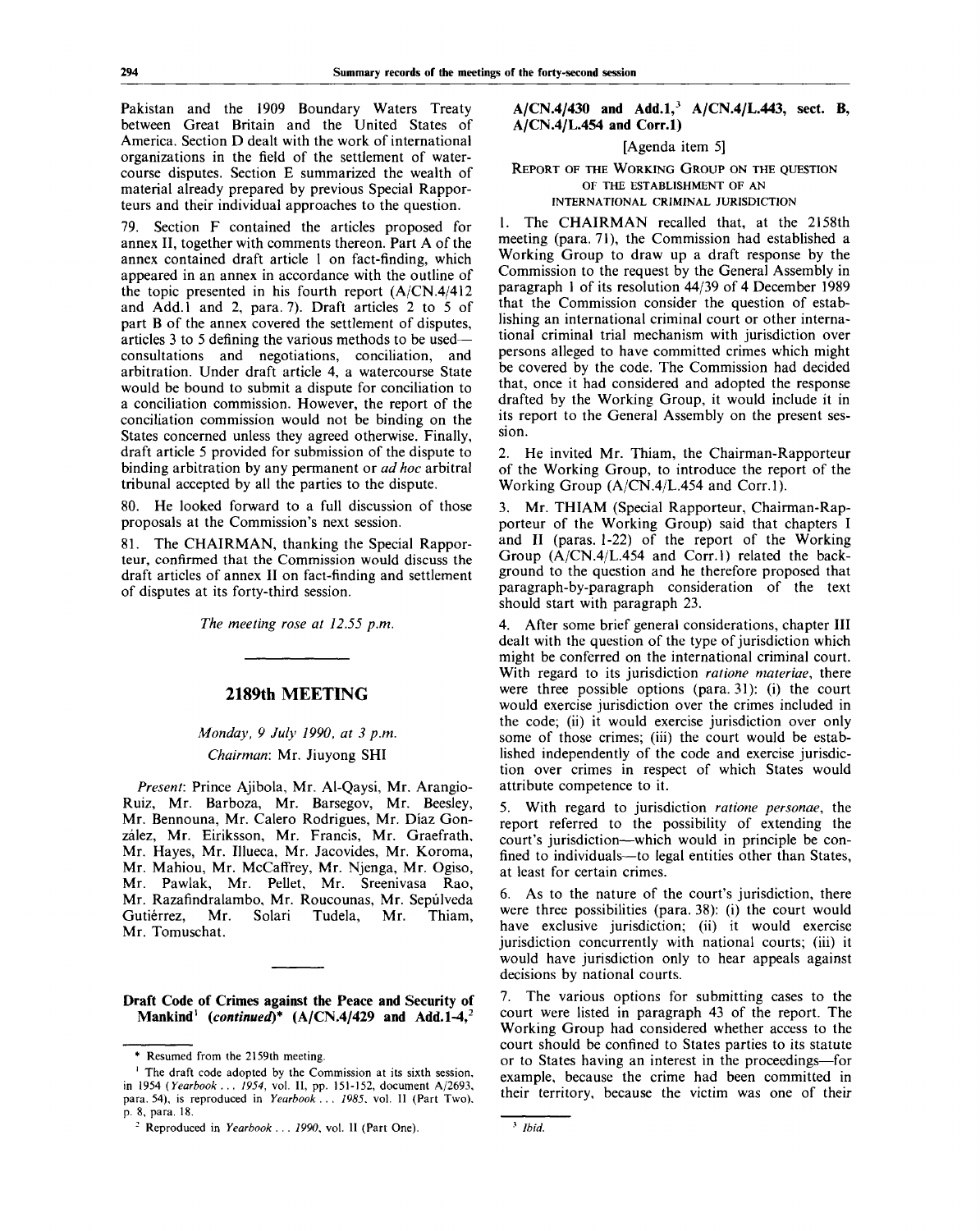Pakistan and the 1909 Boundary Waters Treaty between Great Britain and the United States of America. Section D dealt with the work of international organizations in the field of the settlement of watercourse disputes. Section E summarized the wealth of material already prepared by previous Special Rapporteurs and their individual approaches to the question.

79. Section F contained the articles proposed for annex II, together with comments thereon. Part A of the annex contained draft article 1 on fact-finding, which appeared in an annex in accordance with the outline of the topic presented in his fourth report (A/CN.4/412 and Add.1 and 2, para. 7). Draft articles  $2$  to  $5$  of part B of the annex covered the settlement of disputes, articles 3 to 5 defining the various methods to be used consultations and negotiations, conciliation, and arbitration. Under draft article 4, a watercourse State would be bound to submit a dispute for conciliation to a conciliation commission. However, the report of the conciliation commission would not be binding on the States concerned unless they agreed otherwise. Finally, draft article 5 provided for submission of the dispute to binding arbitration by any permanent or *ad hoc* arbitral tribunal accepted by all the parties to the dispute.

80. He looked forward to a full discussion of those proposals at the Commission's next session.

81. The CHAIRMAN, thanking the Special Rapporteur, confirmed that the Commission would discuss the draft articles of annex II on fact-finding and settlement of disputes at its forty-third session.

*The meeting rose at 12.55 p.m.*

## **2189th MEETING**

## *Monday, 9 July 1990, at 3 p.m. Chairman:* Mr. Jiuyong SHI

*Present:* Prince Ajibola, Mr. Al-Qaysi, Mr. Arangio-Ruiz, Mr. Barboza, Mr. Barsegov, Mr. Beesley, Mr. Bennouna, Mr. Calero Rodrigues, Mr. Diaz Gonzalez, Mr. Eiriksson, Mr. Francis, Mr. Graefrath, Mr. Hayes, Mr. Illueca, Mr. Jacovides, Mr. Koroma, Mr. Mahiou, Mr. McCaffrey, Mr. Njenga, Mr. Ogiso, Mr. Pawlak, Mr. Pellet, Mr. Sreenivasa Rao, Mr. Razafindralambo, Mr. Roucounas, Mr. Sepulveda Gutiérrez, Mr. Solari Tudela, Mr. Thiam, Mr. Tomuschat.

**Draft Code of Crimes against the Peace and Security of Mankind<sup>1</sup>**  *{continued)\** **(A/CN.4/429 and Add.1-4,<sup>2</sup>**

### **A/CN.4/430 and Add.I,<sup>3</sup> A/CN.4/L.443, sect. B, A/CN.4/L.454 and Corr.l)**

[Agenda item 5]

REPORT OF THE WORKING GROUP ON THE QUESTION OF THE ESTABLISHMENT OF AN

INTERNATIONAL CRIMINAL JURISDICTION

1. The CHAIRMAN recalled that, at the 2158th meeting (para. 71), the Commission had established a Working Group to draw up a draft response by the Commission to the request by the General Assembly in paragraph 1 of its resolution 44/39 of 4 December 1989 that the Commission consider the question of establishing an international criminal court or other international criminal trial mechanism with jurisdiction over persons alleged to have committed crimes which might be covered by the code. The Commission had decided that, once it had considered and adopted the response drafted by the Working Group, it would include it in its report to the General Assembly on the present session.

2. He invited Mr. Thiam, the Chairman-Rapporteur of the Working Group, to introduce the report of the Working Group (A/CN.4/L.454 and Corr.l).

3. Mr. THIAM (Special Rapporteur, Chairman-Rapporteur of the Working Group) said that chapters I and II (paras. 1-22) of the report of the Working Group (A/CN.4/L.454 and Corr.l) related the background to the question and he therefore proposed that paragraph-by-paragraph consideration of the text should start with paragraph 23.

4. After some brief general considerations, chapter **III** dealt with the question of the type of jurisdiction which might be conferred on the international criminal court. With regard to its jurisdiction *ratione materiae,* there were three possible options (para. 31): (i) the court would exercise jurisdiction over the crimes included in the code; (ii) it would exercise jurisdiction over only some of those crimes; (iii) the court would be established independently of the code and exercise jurisdiction over crimes in respect of which States would attribute competence to it.

5. With regard to jurisdiction *ratione personae,* the report referred to the possibility of extending the court's jurisdiction—which would in principle be confined to individuals—to legal entities other than States, at least for certain crimes.

6. As to the nature of the court's jurisdiction, there were three possibilities (para. 38): (i) the court would have exclusive jurisdiction; (ii) it would exercise jurisdiction concurrently with national courts; (iii) it would have jurisdiction only to hear appeals against decisions by national courts.

7. The various options for submitting cases to the court were listed in paragraph 43 of the report. The Working Group had considered whether access to the court should be confined to States parties to its statute or to States having an interest in the proceedings—for example, because the crime had been committed in their territory, because the victim was one of their

<sup>\*</sup> Resumed from the 2159th meeting.

<sup>&</sup>lt;sup>1</sup> The draft code adopted by the Commission at its sixth session, in 1954 *{Yearbook . . . 1954,* vol. II, pp. 151-152, document A/2693, para. 54), is reproduced in *Yearbook .* . . *1985.* vol. II (Part Two), p. 8, para. 18.

<sup>2</sup> Reproduced in *Yearbook . . . 1990,* vol. II (Part One).

<sup>3</sup>  *Ibid.*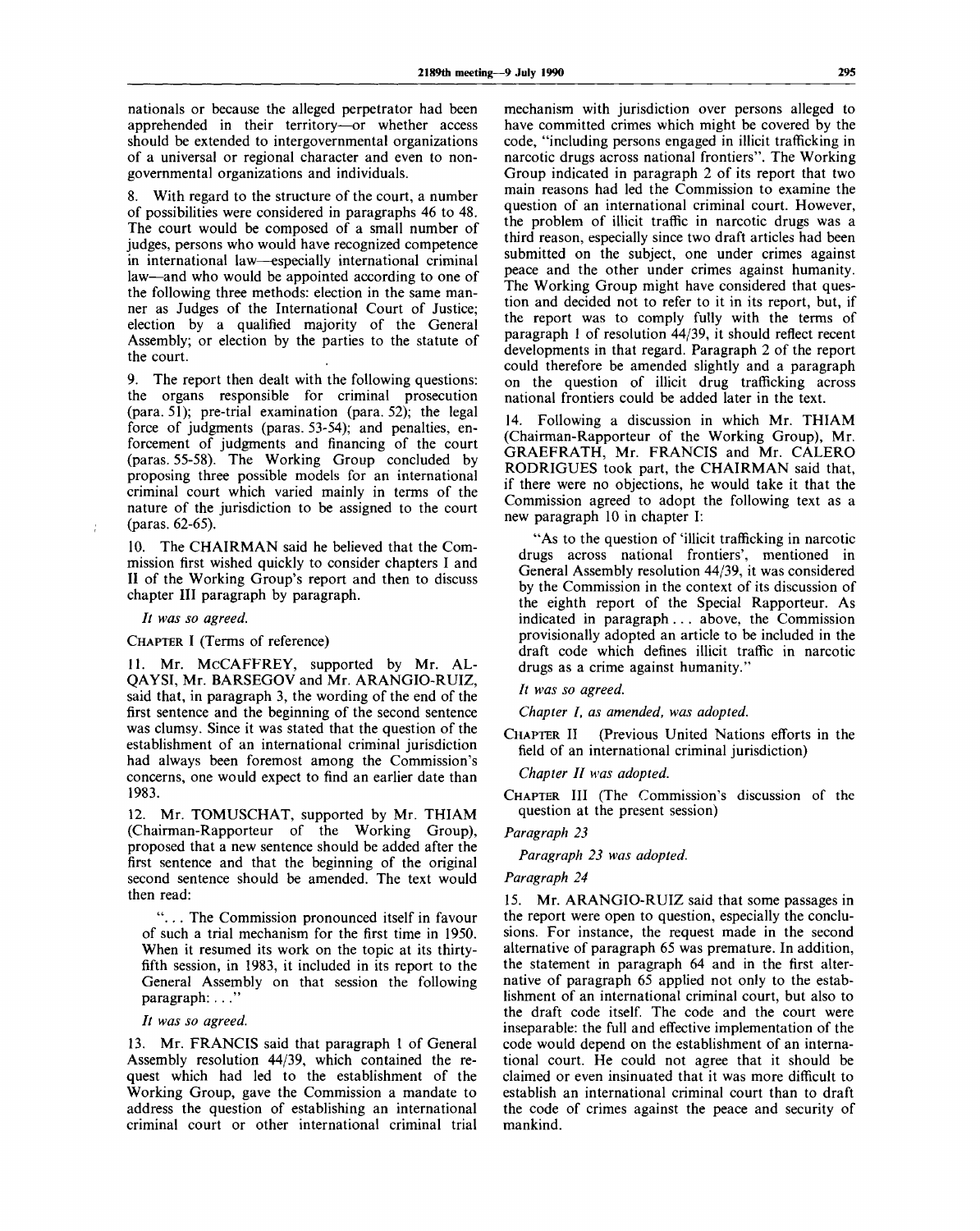nationals or because the alleged perpetrator had been apprehended in their territory—or whether access should be extended to intergovernmental organizations of a universal or regional character and even to nongovernmental organizations and individuals.

8. With regard to the structure of the court, a number of possibilities were considered in paragraphs 46 to 48. The court would be composed of a small number of judges, persons who would have recognized competence in international law—especially international criminal law—and who would be appointed according to one of the following three methods: election in the same manner as Judges of the International Court of Justice; election by a qualified majority of the General Assembly; or election by the parties to the statute of the court.

9. The report then dealt with the following questions: the organs responsible for criminal prosecution (para. 51); pre-trial examination (para. 52); the legal force of judgments (paras. 53-54); and penalties, enforcement of judgments and financing of the court (paras. 55-58). The Working Group concluded by proposing three possible models for an international criminal court which varied mainly in terms of the nature of the jurisdiction to be assigned to the court (paras. 62-65).

10. The CHAIRMAN said he believed that the Commission first wished quickly to consider chapters I and II of the Working Group's report and then to discuss chapter III paragraph by paragraph.

// *was so agreed.*

CHAPTER I (Terms of reference)

11. Mr. MCCAFFREY, supported by Mr. AL-QAYSI, Mr. BARSEGOV and Mr. ARANGIO-RUIZ, said that, in paragraph 3, the wording of the end of the first sentence and the beginning of the second sentence was clumsy. Since it was stated that the question of the establishment of an international criminal jurisdiction had always been foremost among the Commission's concerns, one would expect to find an earlier date than 1983.

12. Mr. TOMUSCHAT, supported by Mr. THIAM (Chairman-Rapporteur of the Working Group), proposed that a new sentence should be added after the first sentence and that the beginning of the original second sentence should be amended. The text would then read:

". . . The Commission pronounced itself in favour of such a trial mechanism for the first time in 1950. When it resumed its work on the topic at its thirtyfifth session, in 1983, it included in its report to the General Assembly on that session the following paragraph: ..."

### *It was so agreed.*

13. Mr. FRANCIS said that paragraph 1 of General Assembly resolution 44/39, which contained the request which had led to the establishment of the Working Group, gave the Commission a mandate to address the question of establishing an international criminal court or other international criminal trial

mechanism with jurisdiction over persons alleged to have committed crimes which might be covered by the code, "including persons engaged in illicit trafficking in narcotic drugs across national frontiers". The Working Group indicated in paragraph 2 of its report that two main reasons had led the Commission to examine the question of an international criminal court. However, the problem of illicit traffic in narcotic drugs was a third reason, especially since two draft articles had been submitted on the subject, one under crimes against peace and the other under crimes against humanity. The Working Group might have considered that question and decided not to refer to it in its report, but, if the report was to comply fully with the terms of paragraph 1 of resolution 44/39, it should reflect recent developments in that regard. Paragraph 2 of the report could therefore be amended slightly and a paragraph on the question of illicit drug trafficking across national frontiers could be added later in the text.

14. Following a discussion in which Mr. THIAM (Chairman-Rapporteur of the Working Group), Mr. GRAEFRATH, Mr. FRANCIS and Mr. CALERO RODRIGUES took part, the CHAIRMAN said that, if there were no objections, he would take it that the Commission agreed to adopt the following text as a new paragraph 10 in chapter I:

"As to the question of 'illicit trafficking in narcotic drugs across national frontiers', mentioned in General Assembly resolution 44/39, it was considered by the Commission in the context of its discussion of the eighth report of the Special Rapporteur. As indicated in paragraph . . . above, the Commission provisionally adopted an article to be included in the draft code which defines illicit traffic in narcotic drugs as a crime against humanity."

*It was so agreed.*

*Chapter I, as amended, was adopted.*

CHAPTER II (Previous United Nations efforts in the field of an international criminal jurisdiction)

*Chapter II was adopted.*

CHAPTER III (The Commission's discussion of the question at the present session)

*Paragraph 23*

*Paragraph 23 was adopted.*

#### *Paragraph 24*

15. Mr. ARANGIO-RUIZ said that some passages in the report were open to question, especially the conclusions. For instance, the request made in the second alternative of paragraph 65 was premature. In addition, the statement in paragraph 64 and in the first alternative of paragraph 65 applied not only to the establishment of an international criminal court, but also to the draft code itself. The code and the court were inseparable: the full and effective implementation of the code would depend on the establishment of an international court. He could not agree that it should be claimed or even insinuated that it was more difficult to establish an international criminal court than to draft the code of crimes against the peace and security of mankind.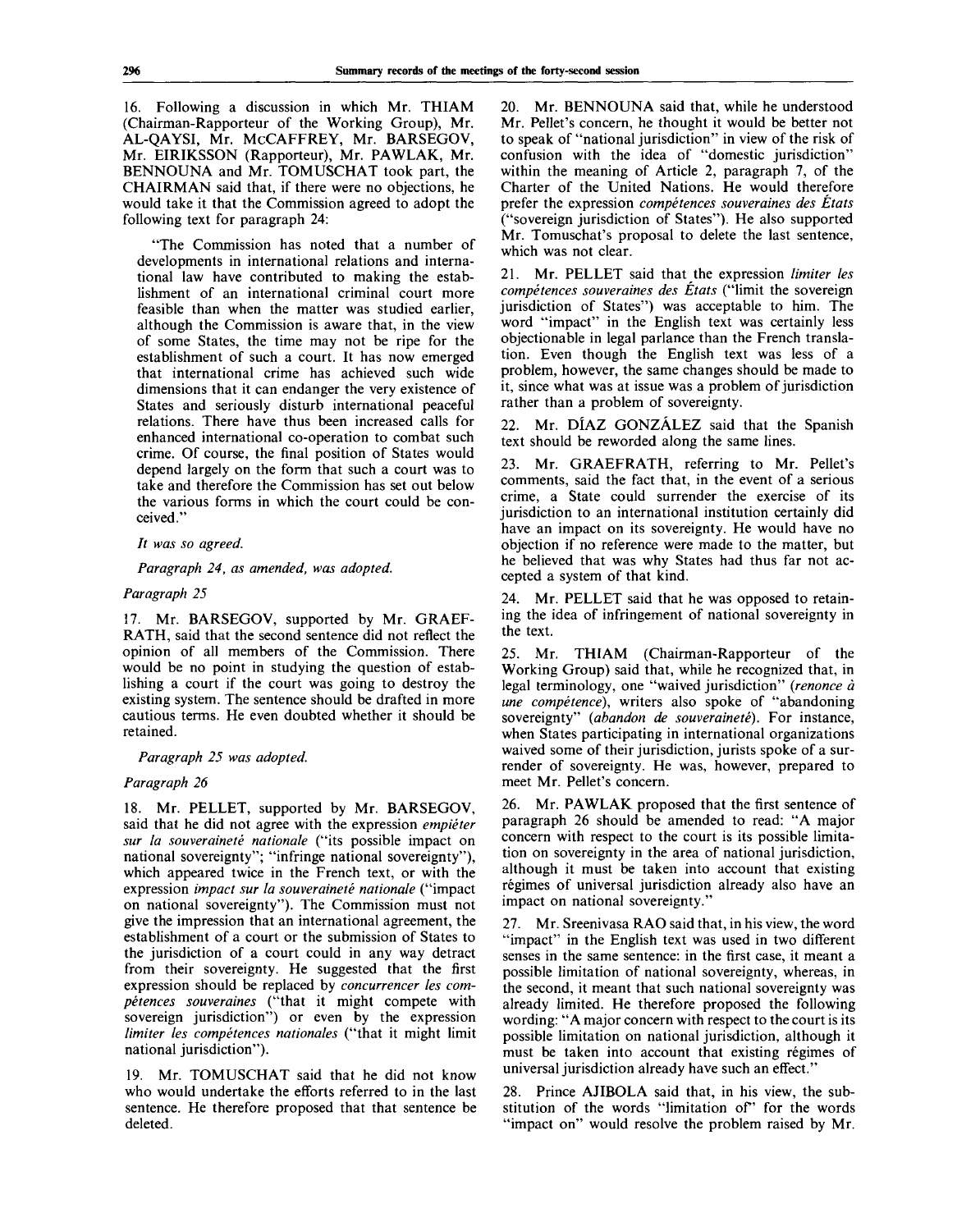16. Following a discussion in which Mr. THIAM (Chairman-Rapporteur of the Working Group), Mr. AL-QAYSI, Mr. McCAFFREY, Mr. BARSEGOV, Mr. EIRIKSSON (Rapporteur), Mr. PAWLAK, Mr. BENNOUNA and Mr. TOMUSCHAT took part, the CHAIRMAN said that, if there were no objections, he would take it that the Commission agreed to adopt the following text for paragraph 24:

"The Commission has noted that a number of developments in international relations and international law have contributed to making the establishment of an international criminal court more feasible than when the matter was studied earlier, although the Commission is aware that, in the view of some States, the time may not be ripe for the establishment of such a court. It has now emerged that international crime has achieved such wide dimensions that it can endanger the very existence of States and seriously disturb international peaceful relations. There have thus been increased calls for enhanced international co-operation to combat such crime. Of course, the final position of States would depend largely on the form that such a court was to take and therefore the Commission has set out below the various forms in which the court could be conceived."

#### // *was so agreed.*

*Paragraph 24, as amended, was adopted.*

#### *Paragraph 25*

17. Mr. BARSEGOV, supported by Mr. GRAEF-RATH, said that the second sentence did not reflect the opinion of all members of the Commission. There would be no point in studying the question of establishing a court if the court was going to destroy the existing system. The sentence should be drafted in more cautious terms. He even doubted whether it should be retained.

#### *Paragraph 25 was adopted.*

#### *Paragraph 26*

18. Mr. PELLET, supported by Mr. BARSEGOV, said that he did not agree with the expression *empieter sur la souverainete nationale* ("its possible impact on national sovereignty"; "infringe national sovereignty"), which appeared twice in the French text, or with the expression *impact sur la souverainete nationale* ("impact on national sovereignty"). The Commission must not give the impression that an international agreement, the establishment of a court or the submission of States to the jurisdiction of a court could in any way detract from their sovereignty. He suggested that the first expression should be replaced by *concurrencer les competences souveraines* ("that it might compete with sovereign jurisdiction") or even by the expression *limiter les competences nationales* ("that it might limit national jurisdiction").

19. Mr. TOMUSCHAT said that he did not know who would undertake the efforts referred to in the last sentence. He therefore proposed that that sentence be deleted.

20. Mr. BENNOUNA said that, while he understood Mr. Pellet's concern, he thought it would be better not to speak of "national jurisdiction" in view of the risk of confusion with the idea of "domestic jurisdiction" within the meaning of Article 2, paragraph 7, of the Charter of the United Nations. He would therefore prefer the expression *competences souveraines des Etats* ("sovereign jurisdiction of States"). He also supported Mr. Tomuschat's proposal to delete the last sentence, which was not clear.

21. Mr. PELLET said that the expression *limiter les competences souveraines des Etats* ("limit the sovereign jurisdiction of States") was acceptable to him. The word "impact" in the English text was certainly less objectionable in legal parlance than the French translation. Even though the English text was less of a problem, however, the same changes should be made to it, since what was at issue was a problem of jurisdiction rather than a problem of sovereignty.

Mr. DÍAZ GONZÁLEZ said that the Spanish text should be reworded along the same lines.

23. Mr. GRAEFRATH, referring to Mr. Pellet's comments, said the fact that, in the event of a serious crime, a State could surrender the exercise of its jurisdiction to an international institution certainly did have an impact on its sovereignty. He would have no objection if no reference were made to the matter, but he believed that was why States had thus far not accepted a system of that kind.

Mr. PELLET said that he was opposed to retaining the idea of infringement of national sovereignty in the text.

25. Mr. THIAM (Chairman-Rapporteur of the Working Group) said that, while he recognized that, in legal terminology, one "waived jurisdiction" *{renonce a une competence),* writers also spoke of "abandoning sovereignty" *{abandon de souverainete).* For instance, when States participating in international organizations waived some of their jurisdiction, jurists spoke of a surrender of sovereignty. He was, however, prepared to meet Mr. Pellet's concern.

Mr. PAWLAK proposed that the first sentence of paragraph 26 should be amended to read: "A major concern with respect to the court is its possible limitation on sovereignty in the area of national jurisdiction, although it must be taken into account that existing régimes of universal jurisdiction already also have an impact on national sovereignty.'

27. Mr. Sreenivasa RAO said that, in his view, the word "impact" in the English text was used in two different senses in the same sentence: in the first case, it meant a possible limitation of national sovereignty, whereas, in the second, it meant that such national sovereignty was already limited. He therefore proposed the following wording: "A major concern with respect to the court is its possible limitation on national jurisdiction, although it must be taken into account that existing régimes of universal jurisdiction already have such an effect.'

28. Prince AJIBOLA said that, in his view, the substitution of the words "limitation of" for the words "impact on" would resolve the problem raised by Mr.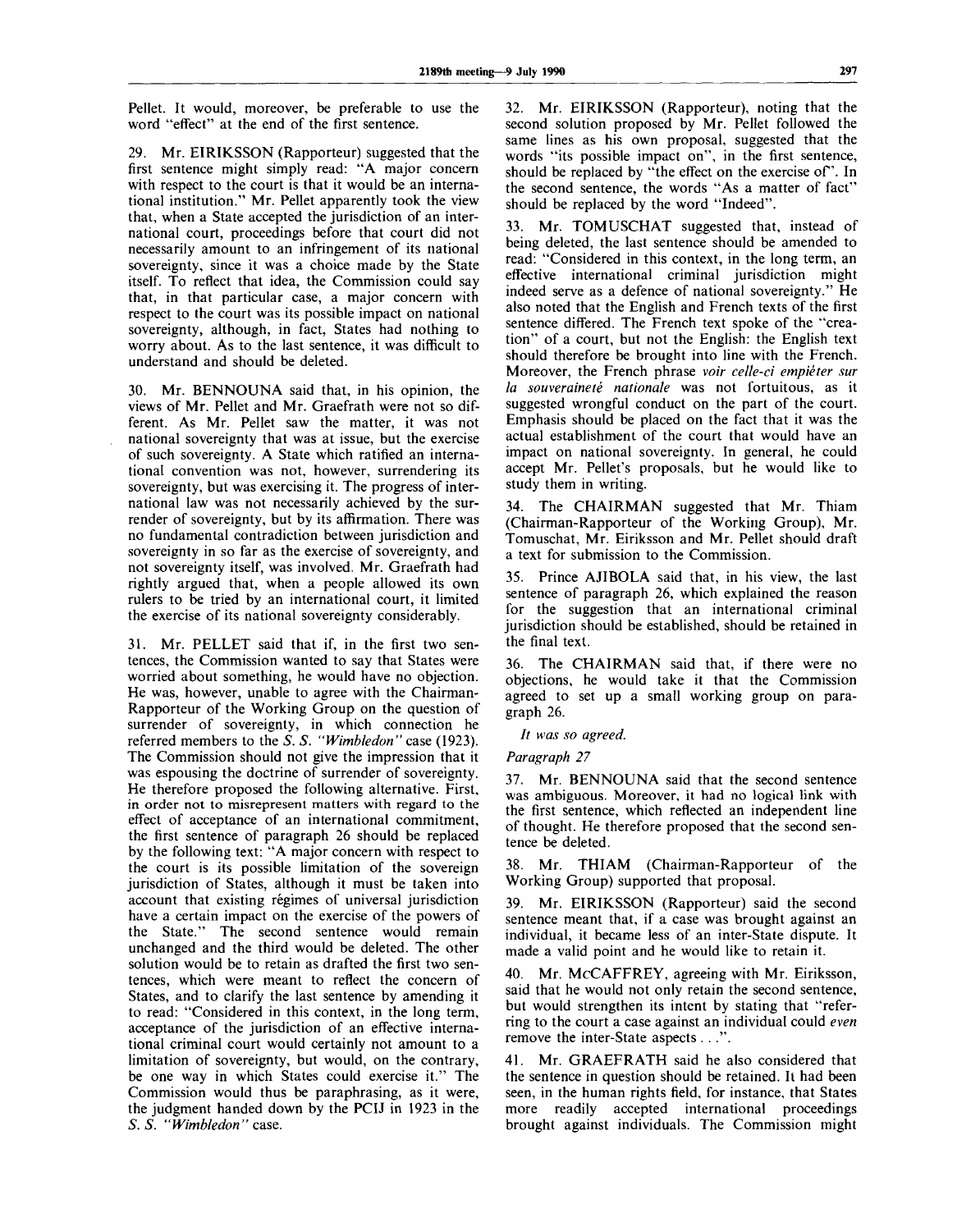Pellet. It would, moreover, be preferable to use the word "effect" at the end of the first sentence.

29. Mr. EIRIKSSON (Rapporteur) suggested that the first sentence might simply read: "A major concern with respect to the court is that it would be an international institution." Mr. Pellet apparently took the view that, when a State accepted the jurisdiction of an international court, proceedings before that court did not necessarily amount to an infringement of its national sovereignty, since it was a choice made by the State itself. To reflect that idea, the Commission could say that, in that particular case, a major concern with respect to the court was its possible impact on national sovereignty, although, in fact, States had nothing to worry about. As to the last sentence, it was difficult to understand and should be deleted.

30. Mr. BENNOUNA said that, in his opinion, the views of Mr. Pellet and Mr. Graefrath were not so different. As Mr. Pellet saw the matter, it was not national sovereignty that was at issue, but the exercise of such sovereignty. A State which ratified an international convention was not, however, surrendering its sovereignty, but was exercising it. The progress of international law was not necessarily achieved by the surrender of sovereignty, but by its affirmation. There was no fundamental contradiction between jurisdiction and sovereignty in so far as the exercise of sovereignty, and not sovereignty itself, was involved. Mr. Graefrath had rightly argued that, when a people allowed its own rulers to be tried by an international court, it limited the exercise of its national sovereignty considerably.

31. Mr. PELLET said that if, in the first two sentences, the Commission wanted to say that States were worried about something, he would have no objection. He was, however, unable to agree with the Chairman-Rapporteur of the Working Group on the question of surrender of sovereignty, in which connection he referred members to the *S. S. "Wimbledon"* case (1923). The Commission should not give the impression that it was espousing the doctrine of surrender of sovereignty. He therefore proposed the following alternative. First, in order not to misrepresent matters with regard to the effect of acceptance of an international commitment, the first sentence of paragraph 26 should be replaced by the following text: "A major concern with respect to the court is its possible limitation of the sovereign jurisdiction of States, although it must be taken into account that existing régimes of universal jurisdiction have a certain impact on the exercise of the powers of the State." The second sentence would remain unchanged and the third would be deleted. The other solution would be to retain as drafted the first two sentences, which were meant to reflect the concern of States, and to clarify the last sentence by amending it to read: "Considered in this context, in the long term, acceptance of the jurisdiction of an effective international criminal court would certainly not amount to a limitation of sovereignty, but would, on the contrary, be one way in which States could exercise it." The Commission would thus be paraphrasing, as it were, the judgment handed down by the PCIJ in 1923 in the *S. S. "Wimbledon"* case.

32. Mr. EIRIKSSON (Rapporteur), noting that the second solution proposed by Mr. Pellet followed the same lines as his own proposal, suggested that the words "its possible impact on", in the first sentence, should be replaced by "the effect on the exercise of". In the second sentence, the words "As a matter of fact" should be replaced by the word "Indeed".

Mr. TOMUSCHAT suggested that, instead of being deleted, the last sentence should be amended to read: "Considered in this context, in the long term, an effective international criminal jurisdiction might indeed serve as a defence of national sovereignty." He also noted that the English and French texts of the first sentence differed. The French text spoke of the "creation" of a court, but not the English: the English text should therefore be brought into line with the French. Moreover, the French phrase *voir celle-ci empieter sur* la souveraineté nationale was not fortuitous, as it suggested wrongful conduct on the part of the court. Emphasis should be placed on the fact that it was the actual establishment of the court that would have an impact on national sovereignty. In general, he could accept Mr. Pellet's proposals, but he would like to study them in writing.

34. The CHAIRMAN suggested that Mr. Thiam (Chairman-Rapporteur of the Working Group), Mr. Tomuschat, Mr. Eiriksson and Mr. Pellet should draft a text for submission to the Commission.

35. Prince AJIBOLA said that, in his view, the last sentence of paragraph 26, which explained the reason for the suggestion that an international criminal jurisdiction should be established, should be retained in the final text.

36. The CHAIRMAN said that, if there were no objections, he would take it that the Commission agreed to set up a small working group on paragraph 26.

// *was so agreed.*

*Paragraph 27*

37. Mr. BENNOUNA said that the second sentence was ambiguous. Moreover, it had no logical link with the first sentence, which reflected an independent line of thought. He therefore proposed that the second sentence be deleted.

38. Mr. THIAM (Chairman-Rapporteur of the Working Group) supported that proposal.

Mr. EIRIKSSON (Rapporteur) said the second sentence meant that, if a case was brought against an individual, it became less of an inter-State dispute. It made a valid point and he would like to retain it.

40. Mr. McCAFFREY, agreeing with Mr. Eiriksson, said that he would not only retain the second sentence, but would strengthen its intent by stating that "referring to the court a case against an individual could *even* remove the inter-State aspects . . .".

41. Mr. GRAEFRATH said he also considered that the sentence in question should be retained. It had been seen, in the human rights field, for instance, that States more readily accepted international proceedings brought against individuals. The Commission might